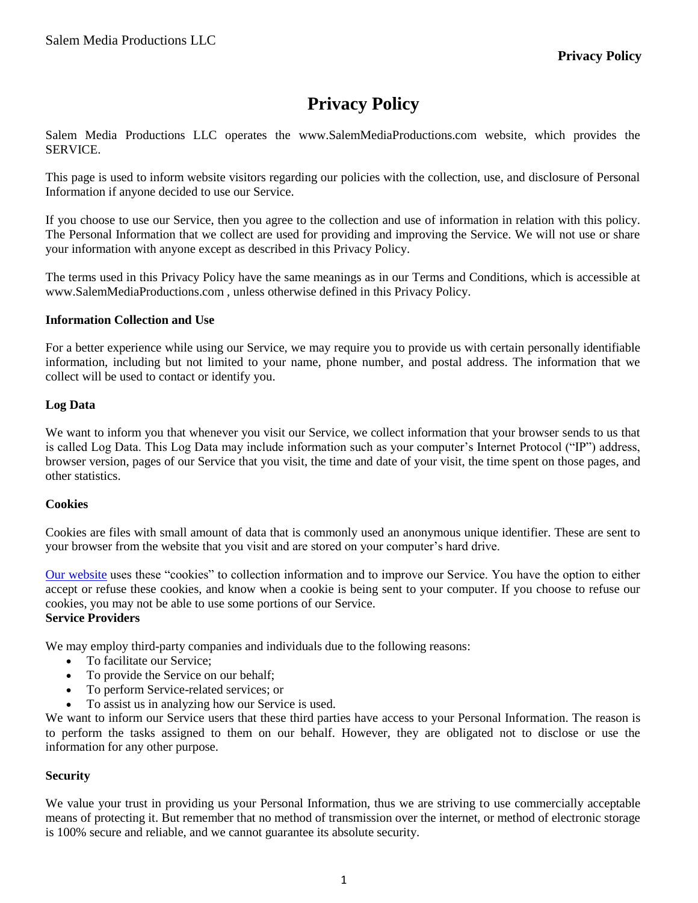# **Privacy Policy**

Salem Media Productions LLC operates the www.SalemMediaProductions.com website, which provides the SERVICE.

This page is used to inform website visitors regarding our policies with the collection, use, and disclosure of Personal Information if anyone decided to use our Service.

If you choose to use our Service, then you agree to the collection and use of information in relation with this policy. The Personal Information that we collect are used for providing and improving the Service. We will not use or share your information with anyone except as described in this Privacy Policy.

The terms used in this Privacy Policy have the same meanings as in our Terms and Conditions, which is accessible at www.SalemMediaProductions.com , unless otherwise defined in this Privacy Policy.

# **Information Collection and Use**

For a better experience while using our Service, we may require you to provide us with certain personally identifiable information, including but not limited to your name, phone number, and postal address. The information that we collect will be used to contact or identify you.

# **Log Data**

We want to inform you that whenever you visit our Service, we collect information that your browser sends to us that is called Log Data. This Log Data may include information such as your computer's Internet Protocol ("IP") address, browser version, pages of our Service that you visit, the time and date of your visit, the time spent on those pages, and other statistics.

#### **Cookies**

Cookies are files with small amount of data that is commonly used an anonymous unique identifier. These are sent to your browser from the website that you visit and are stored on your computer's hard drive.

Our [website](https://mrpromocode.com.au/) uses these "cookies" to collection information and to improve our Service. You have the option to either accept or refuse these cookies, and know when a cookie is being sent to your computer. If you choose to refuse our cookies, you may not be able to use some portions of our Service. **Service Providers**

We may employ third-party companies and individuals due to the following reasons:

- To facilitate our Service;
- To provide the Service on our behalf;
- To perform Service-related services; or
- To assist us in analyzing how our Service is used.

We want to inform our Service users that these third parties have access to your Personal Information. The reason is to perform the tasks assigned to them on our behalf. However, they are obligated not to disclose or use the information for any other purpose.

#### **Security**

We value your trust in providing us your Personal Information, thus we are striving to use commercially acceptable means of protecting it. But remember that no method of transmission over the internet, or method of electronic storage is 100% secure and reliable, and we cannot guarantee its absolute security.